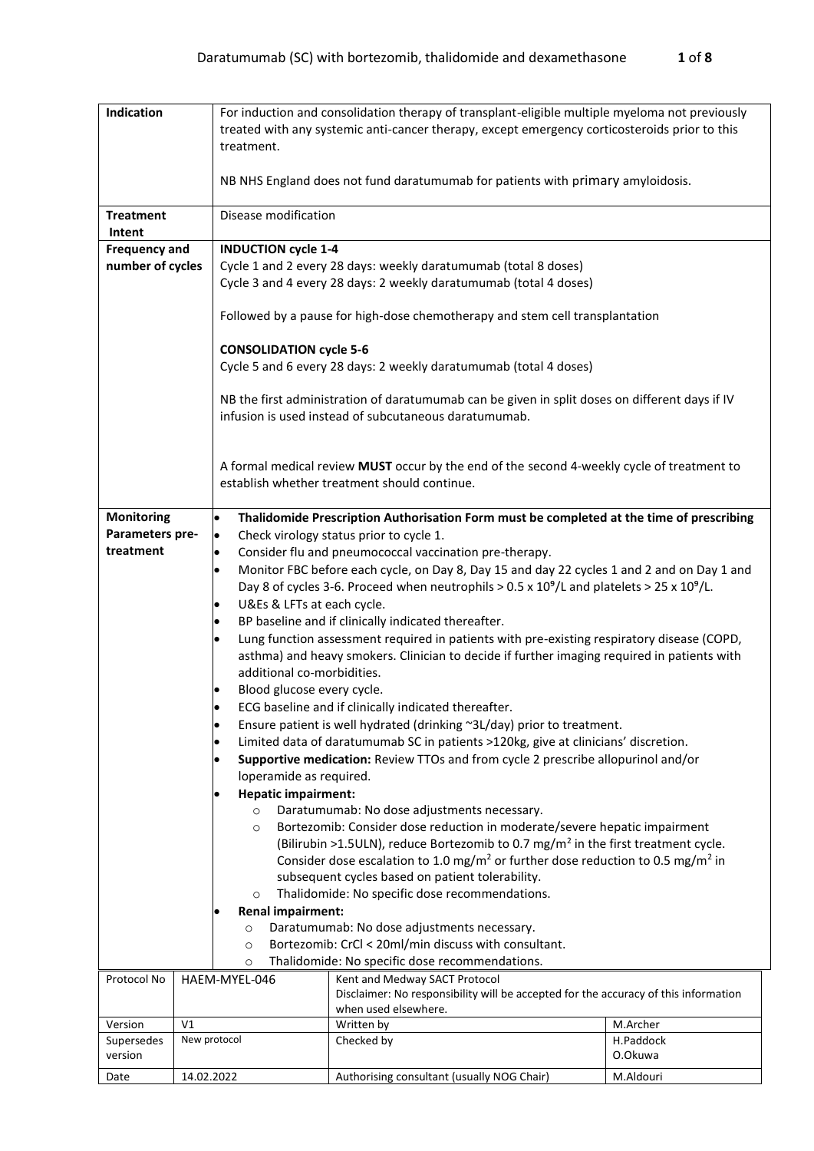| Indication<br>For induction and consolidation therapy of transplant-eligible multiple myeloma not previously                                                        |                            |                                                                                                                                                                   |                                                                                                           |                       |  |  |  |  |
|---------------------------------------------------------------------------------------------------------------------------------------------------------------------|----------------------------|-------------------------------------------------------------------------------------------------------------------------------------------------------------------|-----------------------------------------------------------------------------------------------------------|-----------------------|--|--|--|--|
|                                                                                                                                                                     |                            |                                                                                                                                                                   | treated with any systemic anti-cancer therapy, except emergency corticosteroids prior to this             |                       |  |  |  |  |
|                                                                                                                                                                     |                            | treatment.                                                                                                                                                        |                                                                                                           |                       |  |  |  |  |
|                                                                                                                                                                     |                            |                                                                                                                                                                   |                                                                                                           |                       |  |  |  |  |
|                                                                                                                                                                     |                            |                                                                                                                                                                   | NB NHS England does not fund daratumumab for patients with primary amyloidosis.                           |                       |  |  |  |  |
| <b>Treatment</b>                                                                                                                                                    |                            | Disease modification                                                                                                                                              |                                                                                                           |                       |  |  |  |  |
| Intent                                                                                                                                                              |                            |                                                                                                                                                                   |                                                                                                           |                       |  |  |  |  |
| <b>Frequency and</b>                                                                                                                                                | <b>INDUCTION cycle 1-4</b> |                                                                                                                                                                   |                                                                                                           |                       |  |  |  |  |
| number of cycles                                                                                                                                                    |                            |                                                                                                                                                                   | Cycle 1 and 2 every 28 days: weekly daratumumab (total 8 doses)                                           |                       |  |  |  |  |
|                                                                                                                                                                     |                            |                                                                                                                                                                   | Cycle 3 and 4 every 28 days: 2 weekly daratumumab (total 4 doses)                                         |                       |  |  |  |  |
|                                                                                                                                                                     |                            |                                                                                                                                                                   |                                                                                                           |                       |  |  |  |  |
|                                                                                                                                                                     |                            |                                                                                                                                                                   | Followed by a pause for high-dose chemotherapy and stem cell transplantation                              |                       |  |  |  |  |
|                                                                                                                                                                     |                            | <b>CONSOLIDATION cycle 5-6</b>                                                                                                                                    |                                                                                                           |                       |  |  |  |  |
|                                                                                                                                                                     |                            |                                                                                                                                                                   | Cycle 5 and 6 every 28 days: 2 weekly daratumumab (total 4 doses)                                         |                       |  |  |  |  |
|                                                                                                                                                                     |                            |                                                                                                                                                                   |                                                                                                           |                       |  |  |  |  |
|                                                                                                                                                                     |                            |                                                                                                                                                                   | NB the first administration of daratumumab can be given in split doses on different days if IV            |                       |  |  |  |  |
|                                                                                                                                                                     |                            |                                                                                                                                                                   | infusion is used instead of subcutaneous daratumumab.                                                     |                       |  |  |  |  |
|                                                                                                                                                                     |                            |                                                                                                                                                                   |                                                                                                           |                       |  |  |  |  |
|                                                                                                                                                                     |                            |                                                                                                                                                                   |                                                                                                           |                       |  |  |  |  |
|                                                                                                                                                                     |                            |                                                                                                                                                                   | A formal medical review MUST occur by the end of the second 4-weekly cycle of treatment to                |                       |  |  |  |  |
|                                                                                                                                                                     |                            |                                                                                                                                                                   | establish whether treatment should continue.                                                              |                       |  |  |  |  |
| <b>Monitoring</b>                                                                                                                                                   |                            | $\bullet$                                                                                                                                                         |                                                                                                           |                       |  |  |  |  |
| Thalidomide Prescription Authorisation Form must be completed at the time of prescribing<br>Parameters pre-<br>Check virology status prior to cycle 1.<br>$\bullet$ |                            |                                                                                                                                                                   |                                                                                                           |                       |  |  |  |  |
| treatment<br>$\bullet$                                                                                                                                              |                            |                                                                                                                                                                   | Consider flu and pneumococcal vaccination pre-therapy.                                                    |                       |  |  |  |  |
| $\bullet$                                                                                                                                                           |                            |                                                                                                                                                                   | Monitor FBC before each cycle, on Day 8, Day 15 and day 22 cycles 1 and 2 and on Day 1 and                |                       |  |  |  |  |
|                                                                                                                                                                     |                            |                                                                                                                                                                   | Day 8 of cycles 3-6. Proceed when neutrophils > $0.5 \times 10^9$ /L and platelets > $25 \times 10^9$ /L. |                       |  |  |  |  |
| U&Es & LFTs at each cycle.<br>$\bullet$                                                                                                                             |                            |                                                                                                                                                                   |                                                                                                           |                       |  |  |  |  |
| $\bullet$                                                                                                                                                           |                            |                                                                                                                                                                   | BP baseline and if clinically indicated thereafter.                                                       |                       |  |  |  |  |
| $\bullet$                                                                                                                                                           |                            |                                                                                                                                                                   | Lung function assessment required in patients with pre-existing respiratory disease (COPD,                |                       |  |  |  |  |
|                                                                                                                                                                     |                            |                                                                                                                                                                   | asthma) and heavy smokers. Clinician to decide if further imaging required in patients with               |                       |  |  |  |  |
|                                                                                                                                                                     |                            | additional co-morbidities.                                                                                                                                        |                                                                                                           |                       |  |  |  |  |
|                                                                                                                                                                     |                            | Blood glucose every cycle.                                                                                                                                        |                                                                                                           |                       |  |  |  |  |
|                                                                                                                                                                     |                            |                                                                                                                                                                   | ECG baseline and if clinically indicated thereafter.                                                      |                       |  |  |  |  |
|                                                                                                                                                                     |                            | Ensure patient is well hydrated (drinking ~3L/day) prior to treatment.<br>٠<br>Limited data of daratumumab SC in patients >120kg, give at clinicians' discretion. |                                                                                                           |                       |  |  |  |  |
|                                                                                                                                                                     |                            | $\bullet$<br>Supportive medication: Review TTOs and from cycle 2 prescribe allopurinol and/or<br>$\bullet$                                                        |                                                                                                           |                       |  |  |  |  |
|                                                                                                                                                                     |                            | loperamide as required.                                                                                                                                           |                                                                                                           |                       |  |  |  |  |
|                                                                                                                                                                     |                            | <b>Hepatic impairment:</b>                                                                                                                                        |                                                                                                           |                       |  |  |  |  |
|                                                                                                                                                                     |                            | $\circ$                                                                                                                                                           | Daratumumab: No dose adjustments necessary.                                                               |                       |  |  |  |  |
|                                                                                                                                                                     |                            | $\circ$                                                                                                                                                           | Bortezomib: Consider dose reduction in moderate/severe hepatic impairment                                 |                       |  |  |  |  |
|                                                                                                                                                                     |                            |                                                                                                                                                                   | (Bilirubin >1.5ULN), reduce Bortezomib to 0.7 mg/m <sup>2</sup> in the first treatment cycle.             |                       |  |  |  |  |
|                                                                                                                                                                     |                            |                                                                                                                                                                   | Consider dose escalation to 1.0 mg/m <sup>2</sup> or further dose reduction to 0.5 mg/m <sup>2</sup> in   |                       |  |  |  |  |
|                                                                                                                                                                     |                            |                                                                                                                                                                   | subsequent cycles based on patient tolerability.                                                          |                       |  |  |  |  |
| $\circ$<br>Renal impairment:                                                                                                                                        |                            |                                                                                                                                                                   | Thalidomide: No specific dose recommendations.                                                            |                       |  |  |  |  |
| $\circ$                                                                                                                                                             |                            |                                                                                                                                                                   | Daratumumab: No dose adjustments necessary.                                                               |                       |  |  |  |  |
| $\circ$                                                                                                                                                             |                            |                                                                                                                                                                   | Bortezomib: CrCl < 20ml/min discuss with consultant.                                                      |                       |  |  |  |  |
| $\circ$                                                                                                                                                             |                            |                                                                                                                                                                   | Thalidomide: No specific dose recommendations.                                                            |                       |  |  |  |  |
| Protocol No                                                                                                                                                         |                            | HAEM-MYEL-046                                                                                                                                                     | Kent and Medway SACT Protocol                                                                             |                       |  |  |  |  |
|                                                                                                                                                                     |                            |                                                                                                                                                                   | Disclaimer: No responsibility will be accepted for the accuracy of this information                       |                       |  |  |  |  |
|                                                                                                                                                                     |                            |                                                                                                                                                                   | when used elsewhere.                                                                                      |                       |  |  |  |  |
| Version<br>Supersedes                                                                                                                                               | V <sub>1</sub>             | New protocol                                                                                                                                                      | Written by<br>Checked by                                                                                  | M.Archer<br>H.Paddock |  |  |  |  |
| version                                                                                                                                                             |                            |                                                                                                                                                                   |                                                                                                           | O.Okuwa               |  |  |  |  |
| Date                                                                                                                                                                | 14.02.2022                 |                                                                                                                                                                   | Authorising consultant (usually NOG Chair)                                                                | M.Aldouri             |  |  |  |  |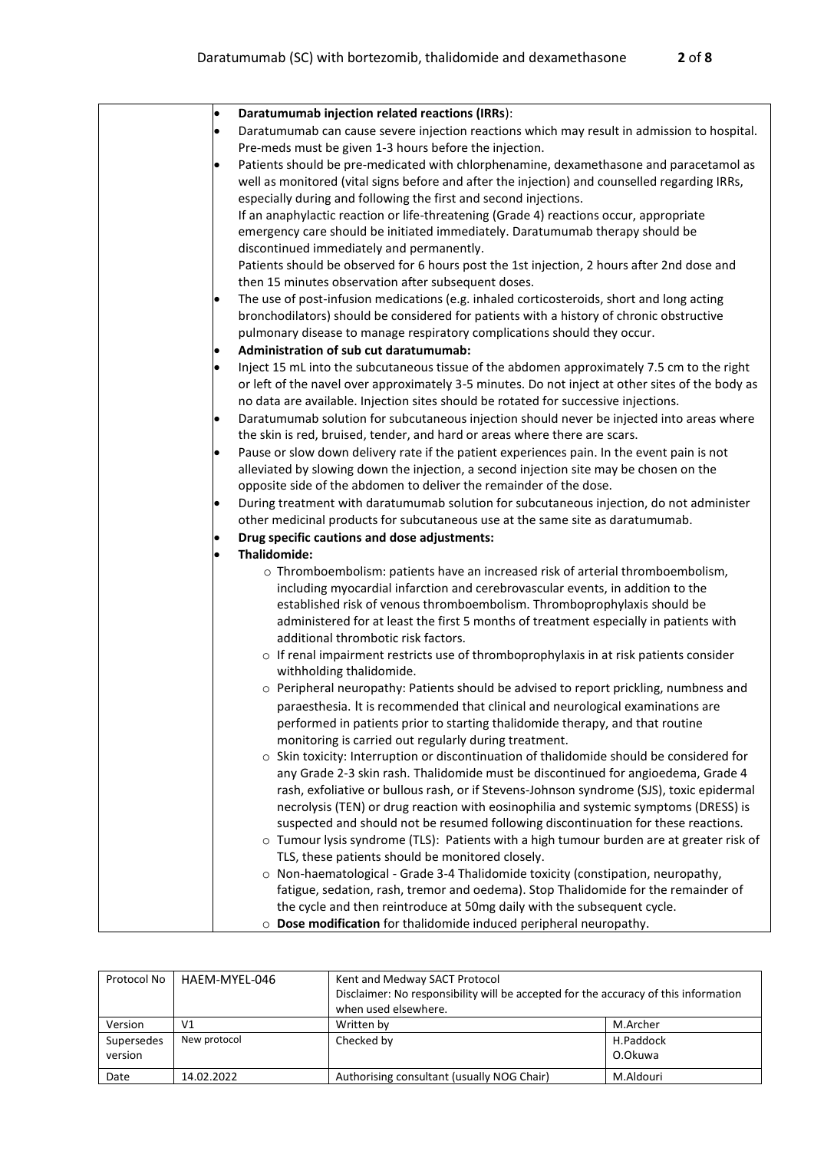| Daratumumab injection related reactions (IRRs):<br>$\bullet$                                                                                                            |
|-------------------------------------------------------------------------------------------------------------------------------------------------------------------------|
| Daratumumab can cause severe injection reactions which may result in admission to hospital.                                                                             |
| Pre-meds must be given 1-3 hours before the injection.                                                                                                                  |
| Patients should be pre-medicated with chlorphenamine, dexamethasone and paracetamol as                                                                                  |
| well as monitored (vital signs before and after the injection) and counselled regarding IRRs,                                                                           |
| especially during and following the first and second injections.                                                                                                        |
| If an anaphylactic reaction or life-threatening (Grade 4) reactions occur, appropriate                                                                                  |
| emergency care should be initiated immediately. Daratumumab therapy should be                                                                                           |
| discontinued immediately and permanently.                                                                                                                               |
| Patients should be observed for 6 hours post the 1st injection, 2 hours after 2nd dose and                                                                              |
| then 15 minutes observation after subsequent doses.                                                                                                                     |
| The use of post-infusion medications (e.g. inhaled corticosteroids, short and long acting                                                                               |
| bronchodilators) should be considered for patients with a history of chronic obstructive                                                                                |
| pulmonary disease to manage respiratory complications should they occur.                                                                                                |
| Administration of sub cut daratumumab:                                                                                                                                  |
| Inject 15 mL into the subcutaneous tissue of the abdomen approximately 7.5 cm to the right                                                                              |
| or left of the navel over approximately 3-5 minutes. Do not inject at other sites of the body as                                                                        |
| no data are available. Injection sites should be rotated for successive injections.                                                                                     |
|                                                                                                                                                                         |
| Daratumumab solution for subcutaneous injection should never be injected into areas where<br>the skin is red, bruised, tender, and hard or areas where there are scars. |
|                                                                                                                                                                         |
| Pause or slow down delivery rate if the patient experiences pain. In the event pain is not                                                                              |
| alleviated by slowing down the injection, a second injection site may be chosen on the                                                                                  |
| opposite side of the abdomen to deliver the remainder of the dose.                                                                                                      |
| During treatment with daratumumab solution for subcutaneous injection, do not administer                                                                                |
| other medicinal products for subcutaneous use at the same site as daratumumab.                                                                                          |
| Drug specific cautions and dose adjustments:                                                                                                                            |
| Thalidomide:                                                                                                                                                            |
| o Thromboembolism: patients have an increased risk of arterial thromboembolism,                                                                                         |
| including myocardial infarction and cerebrovascular events, in addition to the                                                                                          |
| established risk of venous thromboembolism. Thromboprophylaxis should be                                                                                                |
| administered for at least the first 5 months of treatment especially in patients with                                                                                   |
| additional thrombotic risk factors.                                                                                                                                     |
| o If renal impairment restricts use of thromboprophylaxis in at risk patients consider                                                                                  |
| withholding thalidomide.                                                                                                                                                |
| ○ Peripheral neuropathy: Patients should be advised to report prickling, numbness and                                                                                   |
| paraesthesia. It is recommended that clinical and neurological examinations are                                                                                         |
| performed in patients prior to starting thalidomide therapy, and that routine                                                                                           |
| monitoring is carried out regularly during treatment.                                                                                                                   |
| $\circ$ Skin toxicity: Interruption or discontinuation of thalidomide should be considered for                                                                          |
| any Grade 2-3 skin rash. Thalidomide must be discontinued for angioedema, Grade 4                                                                                       |
| rash, exfoliative or bullous rash, or if Stevens-Johnson syndrome (SJS), toxic epidermal                                                                                |
| necrolysis (TEN) or drug reaction with eosinophilia and systemic symptoms (DRESS) is                                                                                    |
| suspected and should not be resumed following discontinuation for these reactions.                                                                                      |
| o Tumour lysis syndrome (TLS): Patients with a high tumour burden are at greater risk of                                                                                |
| TLS, these patients should be monitored closely.                                                                                                                        |
| o Non-haematological - Grade 3-4 Thalidomide toxicity (constipation, neuropathy,                                                                                        |
| fatigue, sedation, rash, tremor and oedema). Stop Thalidomide for the remainder of                                                                                      |
| the cycle and then reintroduce at 50mg daily with the subsequent cycle.                                                                                                 |
| o Dose modification for thalidomide induced peripheral neuropathy.                                                                                                      |

| Protocol No | HAEM-MYEL-046 | Kent and Medway SACT Protocol                                                       |           |  |  |
|-------------|---------------|-------------------------------------------------------------------------------------|-----------|--|--|
|             |               | Disclaimer: No responsibility will be accepted for the accuracy of this information |           |  |  |
|             |               | when used elsewhere.                                                                |           |  |  |
| Version     | V1            | Written by                                                                          | M.Archer  |  |  |
| Supersedes  | New protocol  | Checked by                                                                          | H.Paddock |  |  |
| version     |               |                                                                                     | O.Okuwa   |  |  |
| Date        | 14.02.2022    | Authorising consultant (usually NOG Chair)                                          | M.Aldouri |  |  |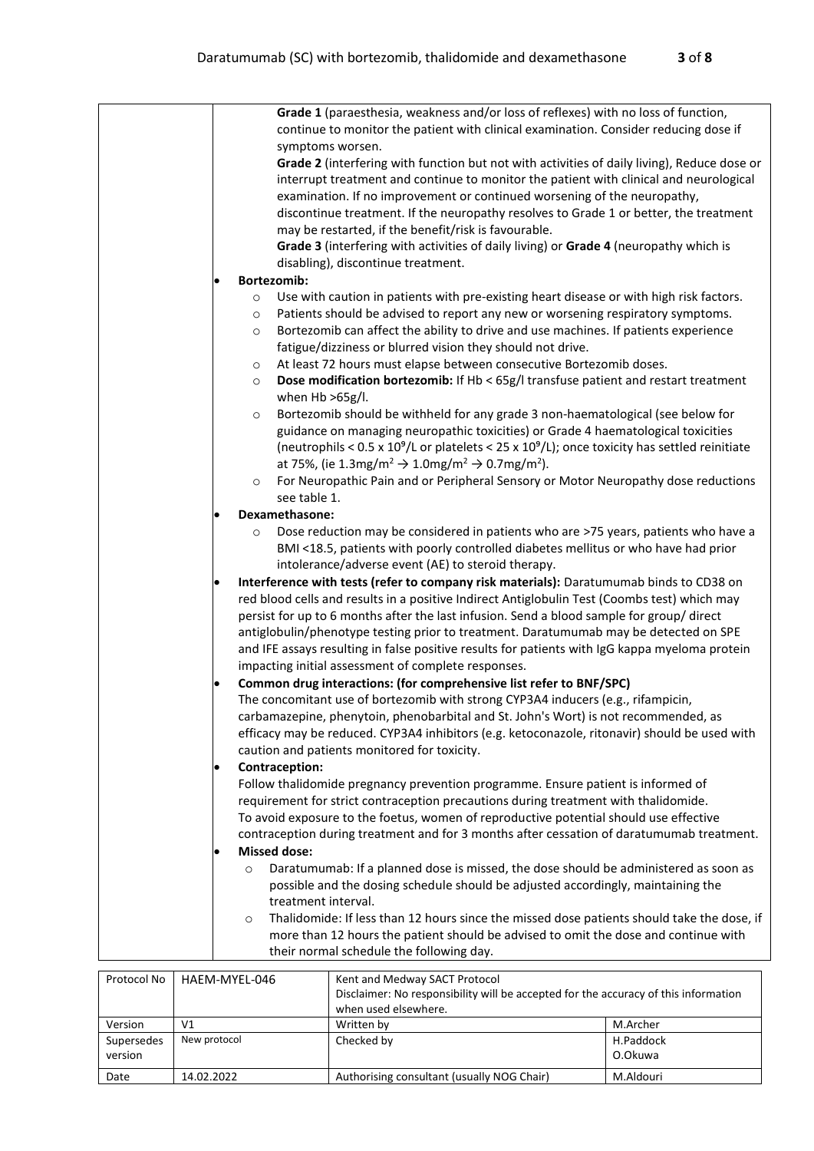|  | Grade 1 (paraesthesia, weakness and/or loss of reflexes) with no loss of function,<br>continue to monitor the patient with clinical examination. Consider reducing dose if                                                                                                                                                                                                                                         |
|--|--------------------------------------------------------------------------------------------------------------------------------------------------------------------------------------------------------------------------------------------------------------------------------------------------------------------------------------------------------------------------------------------------------------------|
|  | symptoms worsen.                                                                                                                                                                                                                                                                                                                                                                                                   |
|  | Grade 2 (interfering with function but not with activities of daily living), Reduce dose or<br>interrupt treatment and continue to monitor the patient with clinical and neurological<br>examination. If no improvement or continued worsening of the neuropathy,<br>discontinue treatment. If the neuropathy resolves to Grade 1 or better, the treatment<br>may be restarted, if the benefit/risk is favourable. |
|  | Grade 3 (interfering with activities of daily living) or Grade 4 (neuropathy which is                                                                                                                                                                                                                                                                                                                              |
|  | disabling), discontinue treatment.                                                                                                                                                                                                                                                                                                                                                                                 |
|  | <b>Bortezomib:</b>                                                                                                                                                                                                                                                                                                                                                                                                 |
|  |                                                                                                                                                                                                                                                                                                                                                                                                                    |
|  | Use with caution in patients with pre-existing heart disease or with high risk factors.<br>$\circ$                                                                                                                                                                                                                                                                                                                 |
|  | Patients should be advised to report any new or worsening respiratory symptoms.<br>$\circ$                                                                                                                                                                                                                                                                                                                         |
|  | Bortezomib can affect the ability to drive and use machines. If patients experience<br>$\circ$<br>fatigue/dizziness or blurred vision they should not drive.                                                                                                                                                                                                                                                       |
|  | At least 72 hours must elapse between consecutive Bortezomib doses.<br>$\circ$                                                                                                                                                                                                                                                                                                                                     |
|  | Dose modification bortezomib: If Hb < 65g/I transfuse patient and restart treatment<br>$\circ$<br>when $Hb > 65g/l$ .                                                                                                                                                                                                                                                                                              |
|  | Bortezomib should be withheld for any grade 3 non-haematological (see below for<br>$\circ$                                                                                                                                                                                                                                                                                                                         |
|  | guidance on managing neuropathic toxicities) or Grade 4 haematological toxicities                                                                                                                                                                                                                                                                                                                                  |
|  | (neutrophils < 0.5 x $10^9$ /L or platelets < 25 x $10^9$ /L); once toxicity has settled reinitiate                                                                                                                                                                                                                                                                                                                |
|  | at 75%, (ie 1.3mg/m <sup>2</sup> $\rightarrow$ 1.0mg/m <sup>2</sup> $\rightarrow$ 0.7mg/m <sup>2</sup> ).                                                                                                                                                                                                                                                                                                          |
|  | For Neuropathic Pain and or Peripheral Sensory or Motor Neuropathy dose reductions<br>$\circ$                                                                                                                                                                                                                                                                                                                      |
|  | see table 1.                                                                                                                                                                                                                                                                                                                                                                                                       |
|  | Dexamethasone:                                                                                                                                                                                                                                                                                                                                                                                                     |
|  | Dose reduction may be considered in patients who are >75 years, patients who have a<br>$\circ$                                                                                                                                                                                                                                                                                                                     |
|  | BMI <18.5, patients with poorly controlled diabetes mellitus or who have had prior                                                                                                                                                                                                                                                                                                                                 |
|  | intolerance/adverse event (AE) to steroid therapy.                                                                                                                                                                                                                                                                                                                                                                 |
|  | Interference with tests (refer to company risk materials): Daratumumab binds to CD38 on                                                                                                                                                                                                                                                                                                                            |
|  | red blood cells and results in a positive Indirect Antiglobulin Test (Coombs test) which may                                                                                                                                                                                                                                                                                                                       |
|  | persist for up to 6 months after the last infusion. Send a blood sample for group/direct                                                                                                                                                                                                                                                                                                                           |
|  | antiglobulin/phenotype testing prior to treatment. Daratumumab may be detected on SPE                                                                                                                                                                                                                                                                                                                              |
|  | and IFE assays resulting in false positive results for patients with IgG kappa myeloma protein                                                                                                                                                                                                                                                                                                                     |
|  | impacting initial assessment of complete responses.                                                                                                                                                                                                                                                                                                                                                                |
|  | Common drug interactions: (for comprehensive list refer to BNF/SPC)                                                                                                                                                                                                                                                                                                                                                |
|  | The concomitant use of bortezomib with strong CYP3A4 inducers (e.g., rifampicin,                                                                                                                                                                                                                                                                                                                                   |
|  | carbamazepine, phenytoin, phenobarbital and St. John's Wort) is not recommended, as                                                                                                                                                                                                                                                                                                                                |
|  | efficacy may be reduced. CYP3A4 inhibitors (e.g. ketoconazole, ritonavir) should be used with                                                                                                                                                                                                                                                                                                                      |
|  | caution and patients monitored for toxicity.                                                                                                                                                                                                                                                                                                                                                                       |
|  |                                                                                                                                                                                                                                                                                                                                                                                                                    |
|  | Contraception:                                                                                                                                                                                                                                                                                                                                                                                                     |
|  | Follow thalidomide pregnancy prevention programme. Ensure patient is informed of                                                                                                                                                                                                                                                                                                                                   |
|  | requirement for strict contraception precautions during treatment with thalidomide.                                                                                                                                                                                                                                                                                                                                |
|  | To avoid exposure to the foetus, women of reproductive potential should use effective                                                                                                                                                                                                                                                                                                                              |
|  | contraception during treatment and for 3 months after cessation of daratumumab treatment.                                                                                                                                                                                                                                                                                                                          |
|  | <b>Missed dose:</b>                                                                                                                                                                                                                                                                                                                                                                                                |
|  | Daratumumab: If a planned dose is missed, the dose should be administered as soon as<br>$\circ$                                                                                                                                                                                                                                                                                                                    |
|  | possible and the dosing schedule should be adjusted accordingly, maintaining the                                                                                                                                                                                                                                                                                                                                   |
|  | treatment interval.                                                                                                                                                                                                                                                                                                                                                                                                |
|  | Thalidomide: If less than 12 hours since the missed dose patients should take the dose, if<br>$\circ$                                                                                                                                                                                                                                                                                                              |
|  | more than 12 hours the patient should be advised to omit the dose and continue with                                                                                                                                                                                                                                                                                                                                |
|  | their normal schedule the following day.                                                                                                                                                                                                                                                                                                                                                                           |
|  |                                                                                                                                                                                                                                                                                                                                                                                                                    |

| Protocol No | HAEM-MYEL-046 | Kent and Medway SACT Protocol                                                       |           |  |  |
|-------------|---------------|-------------------------------------------------------------------------------------|-----------|--|--|
|             |               | Disclaimer: No responsibility will be accepted for the accuracy of this information |           |  |  |
|             |               | when used elsewhere.                                                                |           |  |  |
| Version     | V1            | Written by                                                                          | M.Archer  |  |  |
| Supersedes  | New protocol  | Checked by                                                                          | H.Paddock |  |  |
| version     |               |                                                                                     | O.Okuwa   |  |  |
| Date        | 14.02.2022    | Authorising consultant (usually NOG Chair)                                          | M.Aldouri |  |  |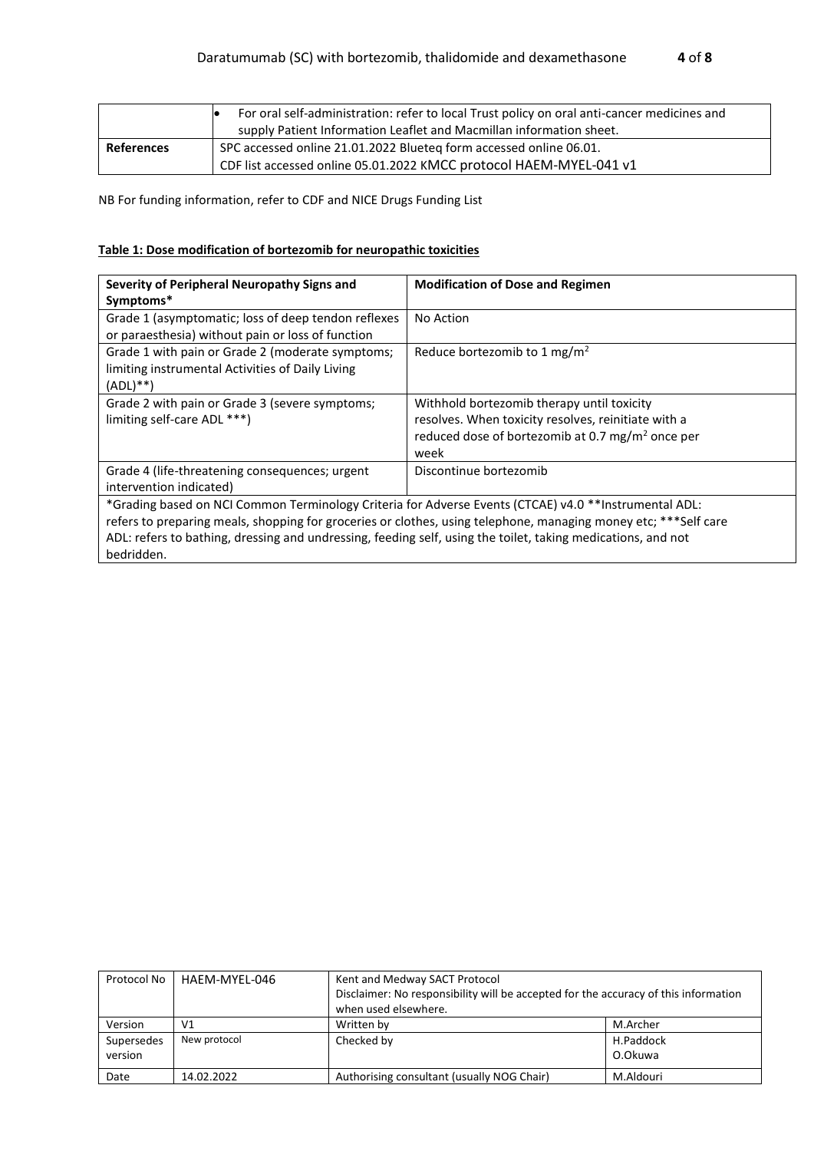|                   | For oral self-administration: refer to local Trust policy on oral anti-cancer medicines and<br>supply Patient Information Leaflet and Macmillan information sheet. |
|-------------------|--------------------------------------------------------------------------------------------------------------------------------------------------------------------|
| <b>References</b> | SPC accessed online 21.01.2022 Blueteq form accessed online 06.01.                                                                                                 |
|                   | CDF list accessed online 05.01.2022 KMCC protocol HAEM-MYEL-041 v1                                                                                                 |

NB For funding information, refer to CDF and NICE Drugs Funding List

#### **Table 1: Dose modification of bortezomib for neuropathic toxicities**

| Severity of Peripheral Neuropathy Signs and<br>Symptoms*                                                                                                                                                                                                                                                                                               | <b>Modification of Dose and Regimen</b>                                                                                                                                   |  |  |
|--------------------------------------------------------------------------------------------------------------------------------------------------------------------------------------------------------------------------------------------------------------------------------------------------------------------------------------------------------|---------------------------------------------------------------------------------------------------------------------------------------------------------------------------|--|--|
| Grade 1 (asymptomatic; loss of deep tendon reflexes<br>or paraesthesia) without pain or loss of function                                                                                                                                                                                                                                               | No Action                                                                                                                                                                 |  |  |
| Grade 1 with pain or Grade 2 (moderate symptoms;<br>limiting instrumental Activities of Daily Living<br>$(ADL)$ **)                                                                                                                                                                                                                                    | Reduce bortezomib to 1 mg/m <sup>2</sup>                                                                                                                                  |  |  |
| Grade 2 with pain or Grade 3 (severe symptoms;<br>limiting self-care ADL ***)                                                                                                                                                                                                                                                                          | Withhold bortezomib therapy until toxicity<br>resolves. When toxicity resolves, reinitiate with a<br>reduced dose of bortezomib at 0.7 mg/m <sup>2</sup> once per<br>week |  |  |
| Grade 4 (life-threatening consequences; urgent<br>intervention indicated)                                                                                                                                                                                                                                                                              | Discontinue bortezomib                                                                                                                                                    |  |  |
| *Grading based on NCI Common Terminology Criteria for Adverse Events (CTCAE) v4.0 **Instrumental ADL:<br>refers to preparing meals, shopping for groceries or clothes, using telephone, managing money etc; ***Self care<br>ADL: refers to bathing, dressing and undressing, feeding self, using the toilet, taking medications, and not<br>bedridden. |                                                                                                                                                                           |  |  |

| Protocol No | HAEM-MYEL-046  | Kent and Medway SACT Protocol                                                       |           |  |  |
|-------------|----------------|-------------------------------------------------------------------------------------|-----------|--|--|
|             |                | Disclaimer: No responsibility will be accepted for the accuracy of this information |           |  |  |
|             |                | when used elsewhere.                                                                |           |  |  |
| Version     | V <sub>1</sub> | Written by                                                                          | M.Archer  |  |  |
| Supersedes  | New protocol   | Checked by                                                                          | H.Paddock |  |  |
| version     |                |                                                                                     | O.Okuwa   |  |  |
| Date        | 14.02.2022     | Authorising consultant (usually NOG Chair)                                          | M.Aldouri |  |  |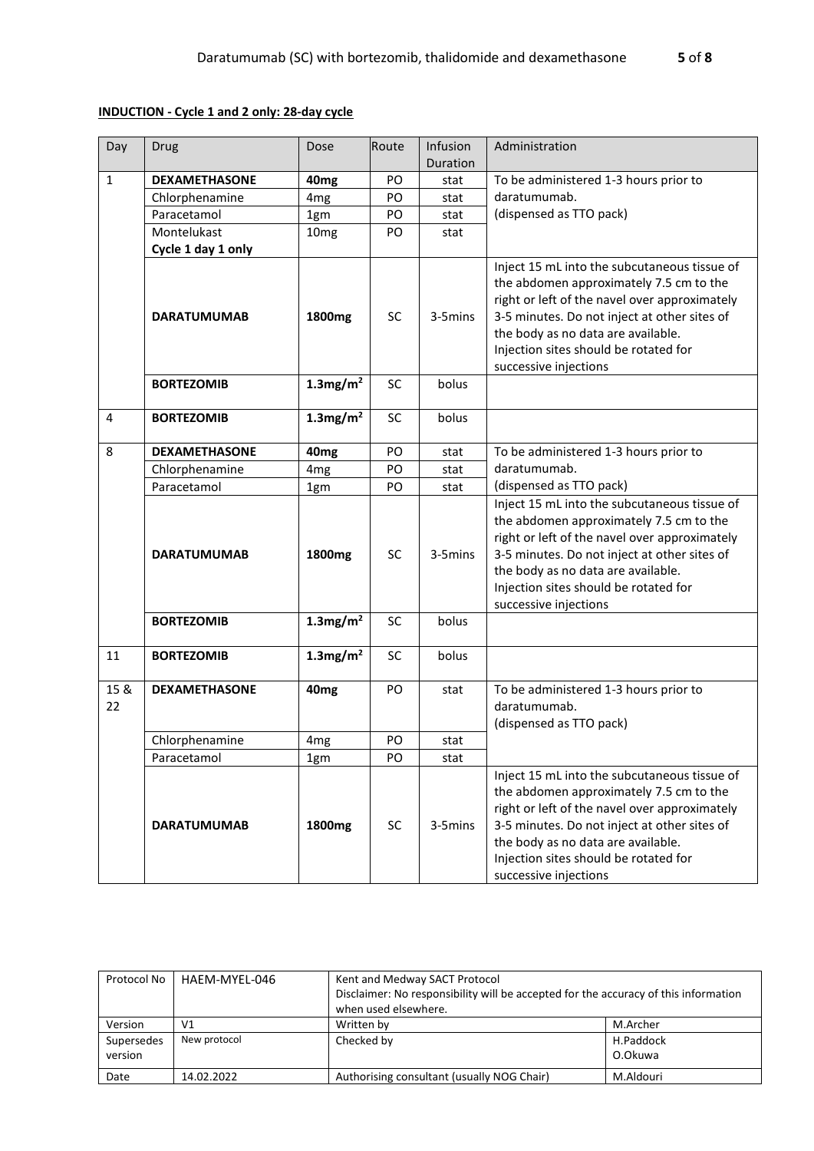## **INDUCTION - Cycle 1 and 2 only: 28-day cycle**

| Day        | Drug                 | Dose                    | Route     | Infusion<br>Duration | Administration                                                                                                                                                                                                                                                                                   |
|------------|----------------------|-------------------------|-----------|----------------------|--------------------------------------------------------------------------------------------------------------------------------------------------------------------------------------------------------------------------------------------------------------------------------------------------|
| 1          | <b>DEXAMETHASONE</b> | 40 <sub>mg</sub>        | PO        | stat                 | To be administered 1-3 hours prior to                                                                                                                                                                                                                                                            |
|            | Chlorphenamine       | 4 <sub>mg</sub>         | PO        | stat                 | daratumumab.                                                                                                                                                                                                                                                                                     |
|            | Paracetamol          | 1gm                     | PO        | stat                 | (dispensed as TTO pack)                                                                                                                                                                                                                                                                          |
|            | Montelukast          | 10 <sub>mg</sub>        | PO        | stat                 |                                                                                                                                                                                                                                                                                                  |
|            | Cycle 1 day 1 only   |                         |           |                      |                                                                                                                                                                                                                                                                                                  |
|            | <b>DARATUMUMAB</b>   | 1800mg                  | <b>SC</b> | 3-5mins              | Inject 15 mL into the subcutaneous tissue of<br>the abdomen approximately 7.5 cm to the<br>right or left of the navel over approximately<br>3-5 minutes. Do not inject at other sites of<br>the body as no data are available.<br>Injection sites should be rotated for<br>successive injections |
|            | <b>BORTEZOMIB</b>    | $1.3$ mg/m <sup>2</sup> | SC        | bolus                |                                                                                                                                                                                                                                                                                                  |
| 4          | <b>BORTEZOMIB</b>    | $1.3$ mg/m <sup>2</sup> | <b>SC</b> | bolus                |                                                                                                                                                                                                                                                                                                  |
| 8          | <b>DEXAMETHASONE</b> | 40 <sub>mg</sub>        | PO        | stat                 | To be administered 1-3 hours prior to                                                                                                                                                                                                                                                            |
|            | Chlorphenamine       | 4 <sub>mg</sub>         | PO        | stat                 | daratumumab.                                                                                                                                                                                                                                                                                     |
|            | Paracetamol          | 1gm                     | PO        | stat                 | (dispensed as TTO pack)                                                                                                                                                                                                                                                                          |
|            | <b>DARATUMUMAB</b>   | 1800mg                  | <b>SC</b> | 3-5mins              | Inject 15 mL into the subcutaneous tissue of<br>the abdomen approximately 7.5 cm to the<br>right or left of the navel over approximately<br>3-5 minutes. Do not inject at other sites of<br>the body as no data are available.<br>Injection sites should be rotated for<br>successive injections |
|            | <b>BORTEZOMIB</b>    | $1.3$ mg/m <sup>2</sup> | <b>SC</b> | bolus                |                                                                                                                                                                                                                                                                                                  |
| 11         | <b>BORTEZOMIB</b>    | $1.3$ mg/m <sup>2</sup> | <b>SC</b> | bolus                |                                                                                                                                                                                                                                                                                                  |
| 15 &<br>22 | <b>DEXAMETHASONE</b> | 40 <sub>mg</sub>        | PO        | stat                 | To be administered 1-3 hours prior to<br>daratumumab.<br>(dispensed as TTO pack)                                                                                                                                                                                                                 |
|            | Chlorphenamine       | 4 <sub>mg</sub>         | PO        | stat                 |                                                                                                                                                                                                                                                                                                  |
|            | Paracetamol          | 1gm                     | PO        | stat                 |                                                                                                                                                                                                                                                                                                  |
|            | <b>DARATUMUMAB</b>   | 1800mg                  | <b>SC</b> | 3-5mins              | Inject 15 mL into the subcutaneous tissue of<br>the abdomen approximately 7.5 cm to the<br>right or left of the navel over approximately<br>3-5 minutes. Do not inject at other sites of<br>the body as no data are available.<br>Injection sites should be rotated for<br>successive injections |

| Protocol No | HAEM-MYEL-046 | Kent and Medway SACT Protocol                                                       |           |  |  |
|-------------|---------------|-------------------------------------------------------------------------------------|-----------|--|--|
|             |               | Disclaimer: No responsibility will be accepted for the accuracy of this information |           |  |  |
|             |               | when used elsewhere.                                                                |           |  |  |
| Version     | V1            | Written by                                                                          | M.Archer  |  |  |
| Supersedes  | New protocol  | Checked by                                                                          | H.Paddock |  |  |
| version     |               |                                                                                     | O.Okuwa   |  |  |
| Date        | 14.02.2022    | Authorising consultant (usually NOG Chair)                                          | M.Aldouri |  |  |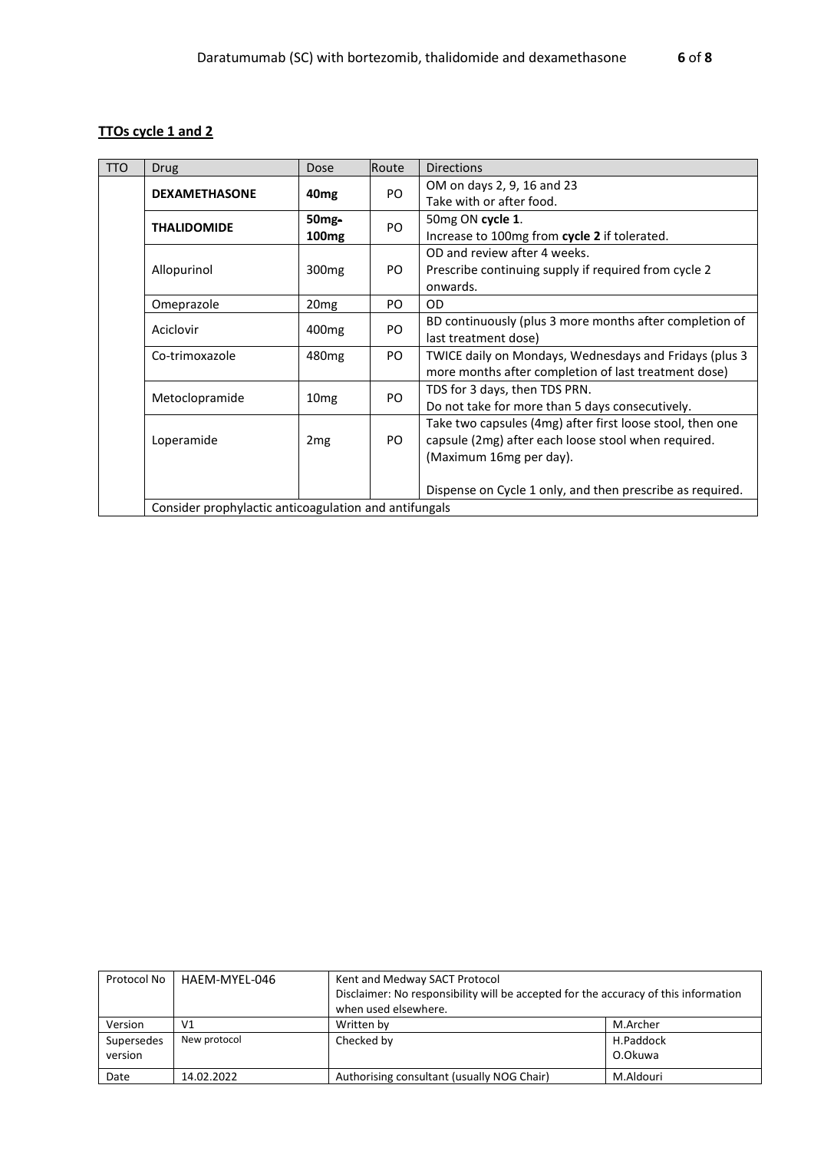# **TTOs cycle 1 and 2**

| <b>TTO</b> | Drug                                                  | Dose               | Route | <b>Directions</b>                                         |  |
|------------|-------------------------------------------------------|--------------------|-------|-----------------------------------------------------------|--|
|            | <b>DEXAMETHASONE</b>                                  | 40 <sub>mg</sub>   | PO.   | OM on days 2, 9, 16 and 23                                |  |
|            |                                                       |                    |       | Take with or after food.                                  |  |
|            | <b>THALIDOMIDE</b>                                    | 50 <sub>mg</sub> - | PO    | 50mg ON cycle 1.                                          |  |
|            |                                                       | 100 <sub>mg</sub>  |       | Increase to 100mg from cycle 2 if tolerated.              |  |
|            |                                                       |                    |       | OD and review after 4 weeks.                              |  |
|            | Allopurinol                                           | 300 <sub>mg</sub>  | PO.   | Prescribe continuing supply if required from cycle 2      |  |
|            |                                                       |                    |       | onwards.                                                  |  |
|            | Omeprazole                                            | 20 <sub>mg</sub>   | PO.   | <b>OD</b>                                                 |  |
|            | Aciclovir                                             | 400 <sub>mg</sub>  | PO.   | BD continuously (plus 3 more months after completion of   |  |
|            |                                                       |                    |       | last treatment dose)                                      |  |
|            | Co-trimoxazole                                        | 480 <sub>mg</sub>  | PO.   | TWICE daily on Mondays, Wednesdays and Fridays (plus 3    |  |
|            |                                                       |                    |       | more months after completion of last treatment dose)      |  |
|            | Metoclopramide                                        | 10 <sub>mg</sub>   | PO.   | TDS for 3 days, then TDS PRN.                             |  |
|            |                                                       |                    |       | Do not take for more than 5 days consecutively.           |  |
|            |                                                       |                    |       | Take two capsules (4mg) after first loose stool, then one |  |
|            | Loperamide                                            | 2 <sub>mg</sub>    | PO.   | capsule (2mg) after each loose stool when required.       |  |
|            |                                                       |                    |       | (Maximum 16mg per day).                                   |  |
|            |                                                       |                    |       |                                                           |  |
|            |                                                       |                    |       | Dispense on Cycle 1 only, and then prescribe as required. |  |
|            | Consider prophylactic anticoagulation and antifungals |                    |       |                                                           |  |

| Protocol No           | HAEM-MYEL-046 | Kent and Medway SACT Protocol<br>Disclaimer: No responsibility will be accepted for the accuracy of this information<br>when used elsewhere. |                      |  |  |
|-----------------------|---------------|----------------------------------------------------------------------------------------------------------------------------------------------|----------------------|--|--|
| Version               | V1            | Written by                                                                                                                                   | M.Archer             |  |  |
| Supersedes<br>version | New protocol  | Checked by                                                                                                                                   | H.Paddock<br>O.Okuwa |  |  |
| Date                  | 14.02.2022    | Authorising consultant (usually NOG Chair)                                                                                                   | M.Aldouri            |  |  |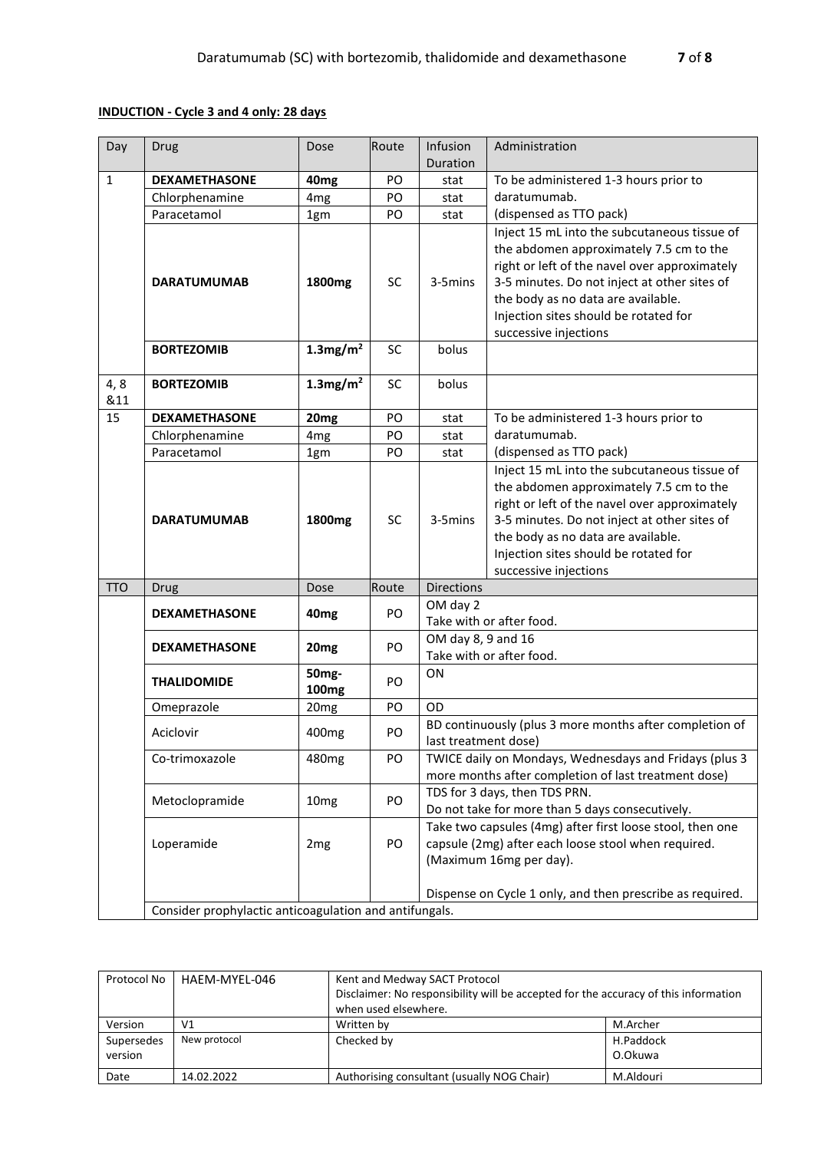## **INDUCTION - Cycle 3 and 4 only: 28 days**

| Day          | <b>Drug</b>                                            | Dose                    | Route     | Infusion                                                                       | Administration                                                                                                                                                                                                                                               |  |  |
|--------------|--------------------------------------------------------|-------------------------|-----------|--------------------------------------------------------------------------------|--------------------------------------------------------------------------------------------------------------------------------------------------------------------------------------------------------------------------------------------------------------|--|--|
|              |                                                        |                         |           | Duration                                                                       |                                                                                                                                                                                                                                                              |  |  |
| $\mathbf{1}$ | <b>DEXAMETHASONE</b>                                   | 40 <sub>mg</sub>        | PO        | stat                                                                           | To be administered 1-3 hours prior to                                                                                                                                                                                                                        |  |  |
|              | Chlorphenamine                                         | 4 <sub>mg</sub>         | PO        | stat                                                                           | daratumumab.                                                                                                                                                                                                                                                 |  |  |
|              | Paracetamol                                            | 1gm                     | PO        | stat                                                                           | (dispensed as TTO pack)                                                                                                                                                                                                                                      |  |  |
|              |                                                        |                         |           |                                                                                | Inject 15 mL into the subcutaneous tissue of                                                                                                                                                                                                                 |  |  |
|              |                                                        |                         | SC        | 3-5mins                                                                        | the abdomen approximately 7.5 cm to the                                                                                                                                                                                                                      |  |  |
|              | <b>DARATUMUMAB</b>                                     | 1800mg                  |           |                                                                                | right or left of the navel over approximately                                                                                                                                                                                                                |  |  |
|              |                                                        |                         |           |                                                                                | 3-5 minutes. Do not inject at other sites of<br>the body as no data are available.                                                                                                                                                                           |  |  |
|              |                                                        |                         |           |                                                                                | Injection sites should be rotated for                                                                                                                                                                                                                        |  |  |
|              |                                                        |                         |           |                                                                                | successive injections                                                                                                                                                                                                                                        |  |  |
|              | <b>BORTEZOMIB</b>                                      | $1.3$ mg/m <sup>2</sup> | SC        | bolus                                                                          |                                                                                                                                                                                                                                                              |  |  |
|              |                                                        |                         |           |                                                                                |                                                                                                                                                                                                                                                              |  |  |
| 4,8          | <b>BORTEZOMIB</b>                                      | $1.3$ mg/m <sup>2</sup> | <b>SC</b> | bolus                                                                          |                                                                                                                                                                                                                                                              |  |  |
| &11          |                                                        |                         |           |                                                                                |                                                                                                                                                                                                                                                              |  |  |
| 15           | <b>DEXAMETHASONE</b>                                   | 20 <sub>mg</sub>        | PO        | stat                                                                           | To be administered 1-3 hours prior to                                                                                                                                                                                                                        |  |  |
|              | Chlorphenamine                                         | 4 <sub>mg</sub>         | PO        | stat                                                                           | daratumumab.                                                                                                                                                                                                                                                 |  |  |
|              | Paracetamol                                            | 1gm                     | PO        | stat                                                                           | (dispensed as TTO pack)                                                                                                                                                                                                                                      |  |  |
|              |                                                        |                         |           |                                                                                | Inject 15 mL into the subcutaneous tissue of                                                                                                                                                                                                                 |  |  |
|              |                                                        |                         |           |                                                                                | the abdomen approximately 7.5 cm to the                                                                                                                                                                                                                      |  |  |
|              |                                                        |                         |           |                                                                                | right or left of the navel over approximately                                                                                                                                                                                                                |  |  |
|              | <b>DARATUMUMAB</b>                                     | 1800mg                  | SC        | 3-5mins                                                                        | 3-5 minutes. Do not inject at other sites of                                                                                                                                                                                                                 |  |  |
|              |                                                        |                         |           |                                                                                | the body as no data are available.                                                                                                                                                                                                                           |  |  |
|              |                                                        |                         |           |                                                                                | Injection sites should be rotated for<br>successive injections                                                                                                                                                                                               |  |  |
| <b>TTO</b>   | Drug                                                   | Dose                    | Route     | Directions                                                                     |                                                                                                                                                                                                                                                              |  |  |
|              |                                                        |                         |           | OM day 2                                                                       |                                                                                                                                                                                                                                                              |  |  |
|              | <b>DEXAMETHASONE</b>                                   | 40 <sub>mg</sub>        | PO        |                                                                                | Take with or after food.                                                                                                                                                                                                                                     |  |  |
|              |                                                        |                         |           | OM day 8, 9 and 16                                                             |                                                                                                                                                                                                                                                              |  |  |
|              | <b>DEXAMETHASONE</b>                                   | 20 <sub>mg</sub>        | PO        | Take with or after food.                                                       |                                                                                                                                                                                                                                                              |  |  |
|              | <b>THALIDOMIDE</b>                                     | 50 <sub>mg</sub> -      | PO        | ON                                                                             |                                                                                                                                                                                                                                                              |  |  |
|              |                                                        | 100 <sub>mg</sub>       |           |                                                                                |                                                                                                                                                                                                                                                              |  |  |
|              | Omeprazole                                             | 20mg                    | PO        | OD                                                                             |                                                                                                                                                                                                                                                              |  |  |
|              | Aciclovir                                              | 400 <sub>mg</sub>       | PO        | BD continuously (plus 3 more months after completion of                        |                                                                                                                                                                                                                                                              |  |  |
|              | Co-trimoxazole                                         | 480 <sub>mg</sub>       | PO        | last treatment dose)<br>TWICE daily on Mondays, Wednesdays and Fridays (plus 3 |                                                                                                                                                                                                                                                              |  |  |
|              |                                                        |                         |           |                                                                                |                                                                                                                                                                                                                                                              |  |  |
|              |                                                        |                         |           |                                                                                | more months after completion of last treatment dose)<br>TDS for 3 days, then TDS PRN.<br>Do not take for more than 5 days consecutively.<br>Take two capsules (4mg) after first loose stool, then one<br>capsule (2mg) after each loose stool when required. |  |  |
|              | Metoclopramide                                         | 10 <sub>mg</sub>        | PO        |                                                                                |                                                                                                                                                                                                                                                              |  |  |
|              |                                                        |                         |           |                                                                                |                                                                                                                                                                                                                                                              |  |  |
|              | Loperamide                                             | 2 <sub>mg</sub>         | PO        |                                                                                |                                                                                                                                                                                                                                                              |  |  |
|              |                                                        |                         |           | (Maximum 16mg per day).                                                        |                                                                                                                                                                                                                                                              |  |  |
|              |                                                        |                         |           |                                                                                |                                                                                                                                                                                                                                                              |  |  |
|              |                                                        |                         |           |                                                                                | Dispense on Cycle 1 only, and then prescribe as required.                                                                                                                                                                                                    |  |  |
|              | Consider prophylactic anticoagulation and antifungals. |                         |           |                                                                                |                                                                                                                                                                                                                                                              |  |  |

| Protocol No           | HAEM-MYEL-046 | Kent and Medway SACT Protocol<br>Disclaimer: No responsibility will be accepted for the accuracy of this information<br>when used elsewhere. |                      |  |  |
|-----------------------|---------------|----------------------------------------------------------------------------------------------------------------------------------------------|----------------------|--|--|
| Version               | V1            | Written by                                                                                                                                   | M.Archer             |  |  |
| Supersedes<br>version | New protocol  | Checked by                                                                                                                                   | H.Paddock<br>O.Okuwa |  |  |
| Date                  | 14.02.2022    | Authorising consultant (usually NOG Chair)                                                                                                   | M.Aldouri            |  |  |